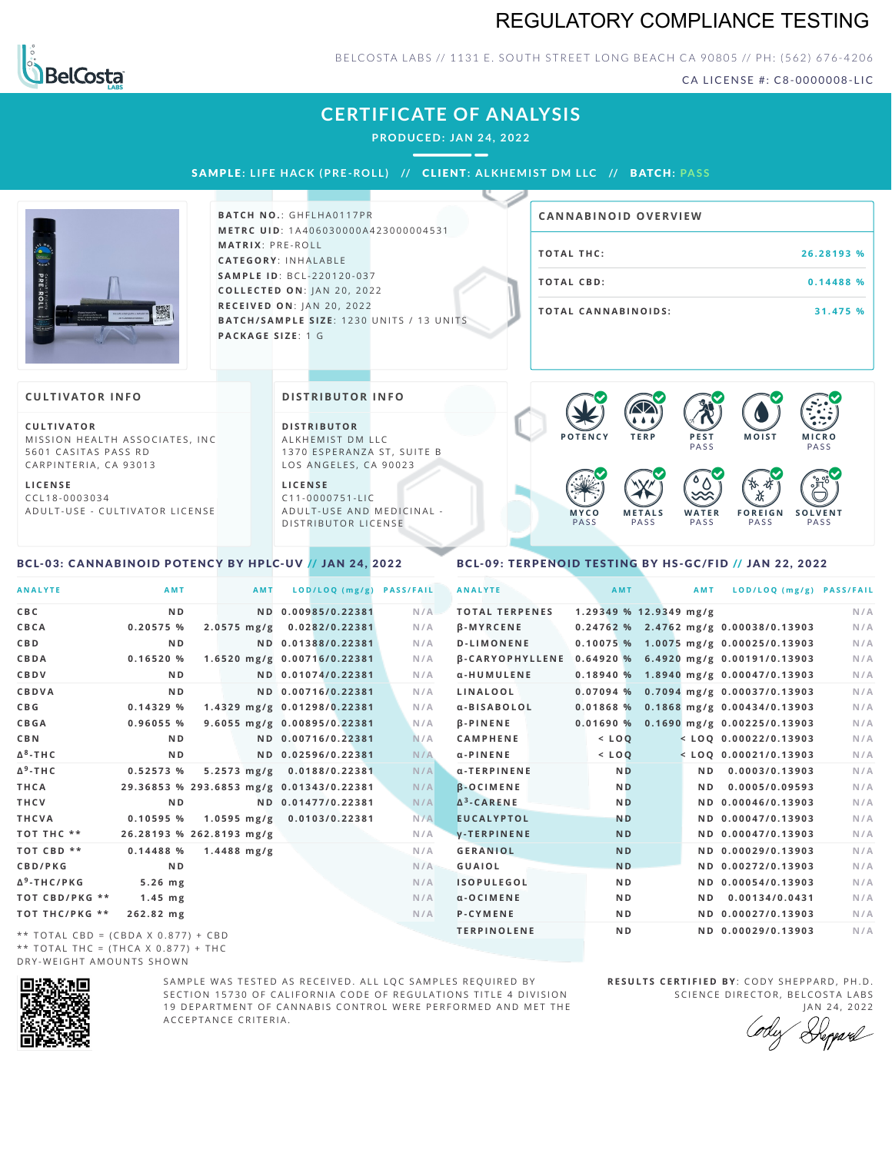## REGULATORY COMPLIANCE TESTING



### BELCOSTA LABS // 1131 E. SOUTH STREET LONG BEACH CA 90805 // PH: (562) 676-4206

CA LICENSE #: C8-0000008-LIC

## **CERTIFICATE OF ANALYSIS**

**PRODUCED: JAN 24, 2022**

SAMPLE: LIFE HACK (PRE-ROLL) // CLIENT: ALKHEMIST DM LLC // BATCH: PASS



**BATCH NO.: GHFLHA0117PR M E T R C U ID** :1 A 4 0 6 0 3 0 0 0 0 A 4 2 3 0 0 0 0 0 4 5 3 1 **M AT R I X** :P R E - R O L L **CAT E G O R Y** : I N H A L A B L E **SA M P L E I D** :B C L - 2 2 0 1 2 0 - 0 3 7 **C O L L E C T E D O N** :J A N 2 0 , 2 0 2 2 **R E C E I V E D O N** : J A N 2 0 ,2 0 2 2 **BATCH/SAMPLE SIZE:** 1230 UNITS / 13 UNITS **PAC KA G E S I Z E** : 1 G

| <b>CANNABINOID OVERVIEW</b> |            |
|-----------------------------|------------|
| TOTAL THC:                  | 26.28193 % |
| TOTAL CBD:                  | 0.14488 %  |
| <b>TOTAL CANNABINOIDS:</b>  | 31.475 %   |

#### **CULTIVATOR I N FO**

**C U L T I VAT O R** MISSION HEALTH ASSOCIATES, INC 5601 CASITAS PASS RD CARPINTERIA, CA 93013

**L I C E N S E** C C L 1 8 - 0 0 0 3 0 3 4 A D U L T - U S E - C U L T I V A T O R L I C E N S E **DI STRIBUTOR I N FO**

**D I S T R IB U T O R** ALKHEMIST DM LLC 1370 ESPERANZA ST, SUITE B LOS ANGELES, CA 90023

**L I C E N S E**  $C11 - 0000751 - L$ A D U L T - U S E A N D M E D I C I N A L -DISTRIBUTOR LICENSE



#### <span id="page-0-0"></span>BCL-03: CANNABINOID POTENCY BY HPLC-UV // JAN 24, 2022

### <span id="page-0-1"></span>BCL-09: TERPENOID TESTING BY HS-GC/FID // JAN 22, 2022

| <b>ANALYTE</b>                      | AMT                                      | <b>AMT</b>    | LOD/LOQ (mg/g)              | <b>PASS/FAIL</b> | <b>ANALYTE</b>        | AMT                    | AMT            | LOD/LOQ (mg/g) PASS/FAIL                              |     |
|-------------------------------------|------------------------------------------|---------------|-----------------------------|------------------|-----------------------|------------------------|----------------|-------------------------------------------------------|-----|
| C B C                               | N <sub>D</sub>                           |               | ND 0.00985/0.22381          | N/A              | <b>TOTAL TERPENES</b> | 1.29349 % 12.9349 mg/g |                |                                                       | N/A |
| CBCA                                | 0.20575 %                                | $2.0575$ mg/g | 0.0282/0.22381              | N/A              | <b>B-MYRCENE</b>      |                        |                | $0.24762$ % 2.4762 mg/g 0.00038/0.13903               | N/A |
| C B D                               | N <sub>D</sub>                           |               | ND 0.01388/0.22381          | N/A              | <b>D-LIMONENE</b>     |                        |                | $0.10075%$ 1.0075 mg/g 0.00025/0.13903                | N/A |
| CBDA                                | 0.16520%                                 |               | 1.6520 mg/g 0.00716/0.22381 | N/A              |                       |                        |                | β-CARYOPHYLLENE 0.64920 % 6.4920 mg/g 0.00191/0.13903 | N/A |
| CBDV                                | N <sub>D</sub>                           |               | ND 0.01074/0.22381          | N/A              | α-HUMULENE            |                        |                | $0.18940 %$ 1.8940 mg/g 0.00047/0.13903               | N/A |
| CBDVA                               | N <sub>D</sub>                           |               | ND 0.00716/0.22381          | N/A              | LINALOOL              |                        |                | $0.07094$ % 0.7094 mg/g 0.00037/0.13903               | N/A |
| C B G                               | 0.14329%                                 |               | 1.4329 mg/g 0.01298/0.22381 | N/A              | a-BISABOLOL           |                        |                | $0.01868$ % 0.1868 mg/g 0.00434/0.13903               | N/A |
| <b>CBGA</b>                         | 0.96055 %                                |               | 9.6055 mg/g 0.00895/0.22381 | N/A              | <b>B-PINENE</b>       |                        |                | $0.01690\%$ 0.1690 mg/g 0.00225/0.13903               | N/A |
| C B N                               | N <sub>D</sub>                           |               | ND 0.00716/0.22381          | N/A              | <b>CAMPHENE</b>       | $<$ LOO                |                | $<$ LOQ 0.00022/0.13903                               | N/A |
| Δ <sup>8</sup> -ΤΗ C                | N <sub>D</sub>                           |               | ND 0.02596/0.22381          | N/A              | $\alpha$ -PINENE      | $<$ LOQ                |                | $<$ LOQ 0.00021/0.13903                               | N/A |
| Δ <sup>9</sup> -ΤΗ C                | 0.52573%                                 |               | 5.2573 mg/g 0.0188/0.22381  | N/A              | α-TERPINENE           | <b>ND</b>              | ND.            | 0.0003/0.13903                                        | N/A |
| THCA                                | 29.36853 % 293.6853 mg/g 0.01343/0.22381 |               |                             | N/A              | <b>B-OCIMENE</b>      | <b>ND</b>              | N <sub>D</sub> | 0.0005/0.09593                                        | N/A |
| THCV                                | N <sub>D</sub>                           |               | ND 0.01477/0.22381          | N/A              | $\Delta^3$ -CARENE    | <b>ND</b>              |                | ND 0.00046/0.13903                                    | N/A |
| THCVA                               | 0.10595%                                 |               | 1.0595 mg/g 0.0103/0.22381  | N/A              | <b>EUCALYPTOL</b>     | <b>ND</b>              |                | ND 0.00047/0.13903                                    | N/A |
| тот тнс **                          | 26.28193 % 262.8193 mg/g                 |               |                             | N/A              | <b>V-TERPINENE</b>    | <b>ND</b>              |                | ND 0.00047/0.13903                                    | N/A |
| <b>TOT CBD **</b>                   | 0.14488%                                 | $1.4488$ mg/g |                             | N/A              | <b>GERANIOL</b>       | <b>ND</b>              |                | ND 0.00029/0.13903                                    | N/A |
| <b>CBD/PKG</b>                      | N <sub>D</sub>                           |               |                             | N/A              | <b>GUAIOL</b>         | N <sub>D</sub>         |                | ND 0.00272/0.13903                                    | N/A |
| Δ <sup>9</sup> -THC/PKG             | $5.26$ mg                                |               |                             | N/A              | <b>ISOPULEGOL</b>     | N <sub>D</sub>         |                | ND 0.00054/0.13903                                    | N/A |
| ТОТ СВD/РКG **                      | $1.45$ mg                                |               |                             | N/A              | $\alpha$ -OCIMENE     | N <sub>D</sub>         | N D            | 0.00134/0.0431                                        | N/A |
| ТОТ ТНС/РКG **                      | 262.82 mg                                |               |                             | N/A              | <b>P-CYMENE</b>       | N <sub>D</sub>         |                | ND 0.00027/0.13903                                    | N/A |
| ** TOTAL CBD = (CBDA X 0.877) + CBD |                                          |               |                             |                  | <b>TERPINOLENE</b>    | N <sub>D</sub>         |                | ND 0.00029/0.13903                                    | N/A |

\* \* T O T A L C B D = ( C B D A X 0 . 8 7 7 ) + C B D \*\* TOTAL THC = (THCA X  $0.877$ ) + THC DRY-WEIGHT AMOUNTS SHOWN



SAMPLE WAS TESTED AS RECEIVED. ALL LOC SAMPLES REOUIRED BY SECTION 15730 OF CALIFORNIA CODE OF REGULATIONS TITLE 4 DIVISION 19 DEPARTMENT OF CANNABIS CONTROL WERE PERFORMED AND MET THE A C C E P T A N C E C R I T E R I A.

**RESULTS CERTIFIED BY: CODY SHEPPARD, PH.D.** SCIENCE DIRECTOR, BELCOSTA LABS JAN 24, 2022

Depard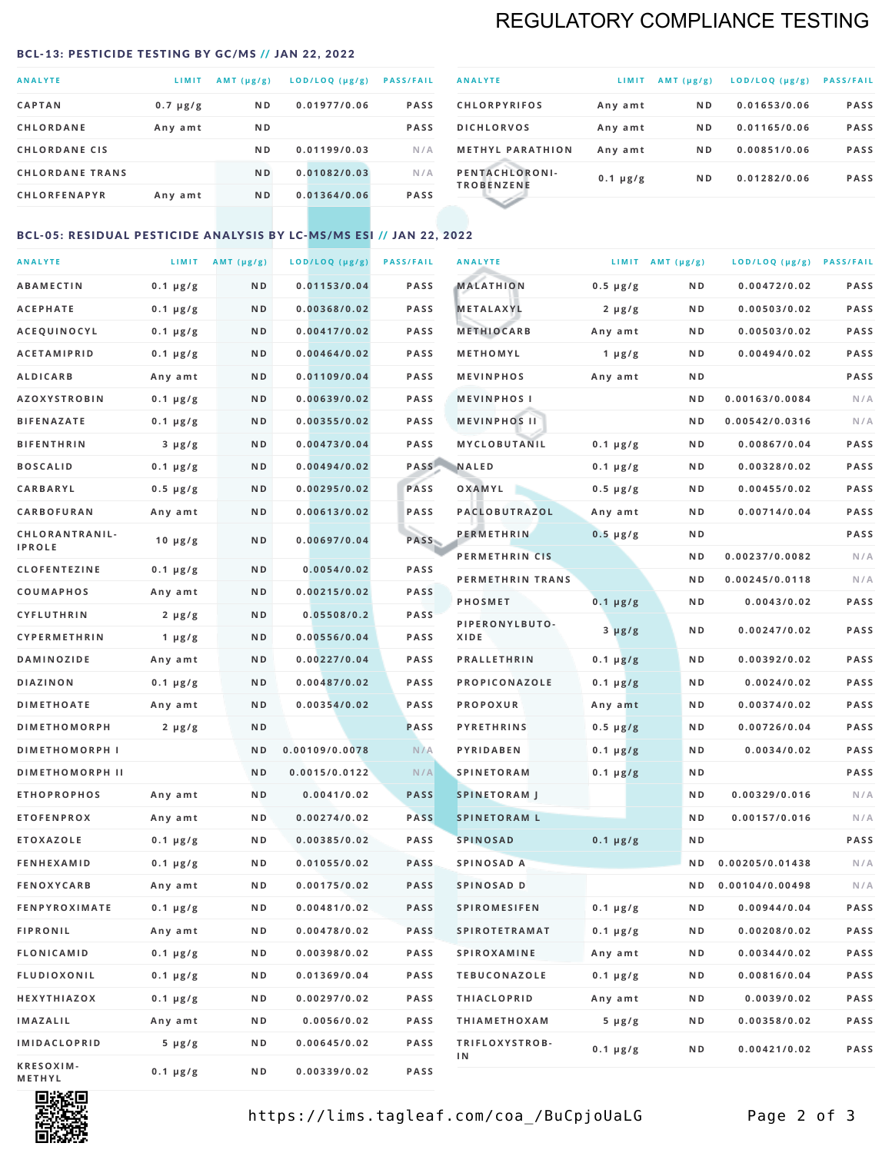# REGULATORY COMPLIANCE TESTING

#### <span id="page-1-0"></span>BCL-13: PESTICIDE TESTING BY GC/MS // JAN 22, 2022

| <b>ANALYTE</b>         | LIMIT         | AMT $(\mu g/g)$ | LOD/LOQ (µg/g) | <b>PASS/FAIL</b> |
|------------------------|---------------|-----------------|----------------|------------------|
| <b>CAPTAN</b>          | $0.7 \mu g/g$ | N <sub>D</sub>  | 0.01977/0.06   | <b>PASS</b>      |
| <b>CHLORDANE</b>       | Any amt       | N <sub>D</sub>  |                | <b>PASS</b>      |
| <b>CHLORDANE CIS</b>   |               | N <sub>D</sub>  | 0.01199/0.03   | N/A              |
| <b>CHLORDANE TRANS</b> |               | N <sub>D</sub>  | 0.01082/0.03   | N/A              |
| <b>CHLORFENAPYR</b>    | Any amt       | N <sub>D</sub>  | 0.01364/0.06   | <b>PASS</b>      |
|                        |               |                 |                |                  |

| <b>ANALYTE</b>                      | LIMIT         | $AMT(\mu g/g)$ | LOD/LOQ (µg/g) | <b>PASS/FAIL</b> |
|-------------------------------------|---------------|----------------|----------------|------------------|
| <b>CHLORPYRIFOS</b>                 | Any amt       | N <sub>D</sub> | 0.01653/0.06   | <b>PASS</b>      |
| <b>DICHLORVOS</b>                   | Any amt       | N <sub>D</sub> | 0.01165/0.06   | <b>PASS</b>      |
| <b>METHYL PARATHION</b>             | Any amt       | N <sub>D</sub> | 0.00851/0.06   | <b>PASS</b>      |
| PENTACHLORONI-<br><b>TROBENZENE</b> | $0.1 \mu g/g$ | N <sub>D</sub> | 0.01282/0.06   | <b>PASS</b>      |
|                                     |               |                |                |                  |

## BCL-05: RESIDUAL PESTICIDE ANALYSIS BY LC-MS/MS ESI // JAN 22, 2022

| <b>ANALYTE</b>         |                  | LIMIT $AMT (\mu g/g)$ | LOD/LOQ (µg/g) | <b>PASS/FAIL</b> | <b>ANALYTE</b>       |                  | LIMIT AMT $(\mu g/g)$ | LOD/LOQ (µg/g) PASS/FAIL |             |
|------------------------|------------------|-----------------------|----------------|------------------|----------------------|------------------|-----------------------|--------------------------|-------------|
| <b>ABAMECTIN</b>       | $0.1 \mu g/g$    | N D                   | 0.01153/0.04   | <b>PASS</b>      | <b>MALATHION</b>     | $0.5 \mu g/g$    | N D                   | 0.00472/0.02             | <b>PASS</b> |
| <b>ACEPHATE</b>        | $0.1 \mu g/g$    | N D                   | 0.00368/0.02   | <b>PASS</b>      | <b>METALAXYL</b>     | $2 \mu g/g$      | N D                   | 0.00503/0.02             | PASS        |
| ACEQUINOCYL            | $0.1 \mu g/g$    | N D                   | 0.00417/0.02   | <b>PASS</b>      | <b>METHIOCARB</b>    | Any amt          | N D                   | 0.00503/0.02             | PASS        |
| <b>ACETAMIPRID</b>     | $0.1 \mu g/g$    | N D                   | 0.00464/0.02   | PASS             | METHOMYL             | 1 $\mu$ g/g      | N D                   | 0.00494/0.02             | PASS        |
| <b>ALDICARB</b>        | Any amt          | ND                    | 0.01109/0.04   | <b>PASS</b>      | <b>MEVINPHOS</b>     | Any amt          | N D                   |                          | PASS        |
| <b>AZOXYSTROBIN</b>    | $0.1 \mu g/g$    | N D                   | 0.00639/0.02   | <b>PASS</b>      | <b>MEVINPHOSI</b>    |                  | N D                   | 0.00163/0.0084           | N/A         |
| <b>BIFENAZATE</b>      | $0.1 \mu g/g$    | N D                   | 0.00355/0.02   | <b>PASS</b>      | <b>MEVINPHOS II</b>  |                  | N D                   | 0.00542/0.0316           | N/A         |
| <b>BIFENTHRIN</b>      | $3 \mu g/g$      | ND                    | 0.00473/0.04   | <b>PASS</b>      | MYCLOBUTANIL         | $0.1 \mu g/g$    | N D                   | 0.00867/0.04             | PASS        |
| <b>BOSCALID</b>        | $0.1 \mu g/g$    | N D                   | 0.00494/0.02   |                  | PASS NALED           | 0.1 µg/g         | N D                   | 0.00328/0.02             | PASS        |
| CARBARYL               | $0.5 \, \mu g/g$ | N D                   | 0.00295/0.02   | PASS             | OXAMYL               | $0.5 \, \mu g/g$ | N D                   | 0.00455/0.02             | PASS        |
| CARBOFURAN             | Any amt          | N D                   | 0.00613/0.02   | PASS             | PACLOBUTRAZOL        | Any amt          | N D                   | 0.00714/0.04             | PASS        |
| CHLORANTRANIL-         | $10 \mu g/g$     | N D                   | 0.00697/0.04   | PASS             | <b>PERMETHRIN</b>    | $0.5 \mu g/g$    | N D                   |                          | PASS        |
| <b>IPROLE</b>          |                  |                       |                |                  | PERMETHRIN CIS       |                  | N D                   | 0.00237/0.0082           | N/A         |
| <b>CLOFENTEZINE</b>    | $0.1 \mu g/g$    | N D                   | 0.0054/0.02    | <b>PASS</b>      | PERMETHRIN TRANS     |                  | N D                   | 0.00245/0.0118           | N/A         |
| COUMAPHOS              | Any amt          | N D                   | 0.00215/0.02   | PASS             | <b>PHOSMET</b>       | $0.1 \mu g/g$    | N D                   | 0.0043/0.02              | PASS        |
| CYFLUTHRIN             | $2 \mu g/g$      | N D                   | 0.05508/0.2    | <b>PASS</b>      | PIPERONYLBUTO-       | $3 \mu g/g$      | N D                   | 0.00247/0.02             | PASS        |
| <b>CYPERMETHRIN</b>    | $1 \mu g/g$      | N D                   | 0.00556/0.04   | <b>PASS</b>      | XIDE                 |                  |                       |                          |             |
| <b>DAMINOZIDE</b>      | Any amt          | N D                   | 0.00227/0.04   | PASS             | <b>PRALLETHRIN</b>   | $0.1 \mu g/g$    | N D                   | 0.00392/0.02             | PASS        |
| <b>DIAZINON</b>        | $0.1 \mu g/g$    | N D                   | 0.00487/0.02   | <b>PASS</b>      | PROPICONAZOLE        | $0.1 \mu g/g$    | N D                   | 0.0024/0.02              | PASS        |
| <b>DIMETHOATE</b>      | Any amt          | N D                   | 0.00354/0.02   | <b>PASS</b>      | <b>PROPOXUR</b>      | Any amt          | N D                   | 0.00374/0.02             | PASS        |
| <b>DIMETHOMORPH</b>    | $2 \mu g/g$      | N D                   |                | <b>PASS</b>      | <b>PYRETHRINS</b>    | $0.5 \mu g/g$    | N D                   | 0.00726/0.04             | PASS        |
| <b>DIMETHOMORPH I</b>  |                  | N D                   | 0.00109/0.0078 | N/A              | <b>PYRIDABEN</b>     | $0.1 \mu g/g$    | N D                   | 0.0034/0.02              | PASS        |
| <b>DIMETHOMORPH II</b> |                  | ND                    | 0.0015/0.0122  | N/A              | <b>SPINETORAM</b>    | $0.1 \mu g/g$    | N D                   |                          | PASS        |
| <b>ETHOPROPHOS</b>     | Any amt          | N D                   | 0.0041/0.02    | <b>PASS</b>      | <b>SPINETORAM J</b>  |                  | N D                   | 0.00329/0.016            | N/A         |
| <b>ETOFENPROX</b>      | Any amt          | N D                   | 0.00274/0.02   | <b>PASS</b>      | <b>SPINETORAM L</b>  |                  | N D                   | 0.00157/0.016            | N/A         |
| <b>ETOXAZOLE</b>       | $0.1 \mu g/g$    | N D                   | 0.00385/0.02   | PASS             | <b>SPINOSAD</b>      | $0.1 \mu g/g$    | N D                   |                          | PASS        |
| <b>FENHEXAMID</b>      | $0.1 \mu g/g$    | N D                   | 0.01055/0.02   | <b>PASS</b>      | SPINOSAD A           |                  | N D                   | 0.00205/0.01438          | N/A         |
| <b>FENOXYCARB</b>      | Any amt          | N D                   | 0.00175/0.02   | <b>PASS</b>      | SPINOSAD D           |                  | N D                   | 0.00104/0.00498          | N/A         |
| <b>FENPYROXIMATE</b>   | 0.1 µg/g         | N D                   | 0.00481/0.02   | <b>PASS</b>      | SPIROMESIFEN         | 0.1 µg/g         | N D                   | 0.00944/0.04             | PASS        |
| <b>FIPRONIL</b>        | Any amt          | N D                   | 0.00478/0.02   | PASS             | <b>SPIROTETRAMAT</b> | $0.1 \, \mu g/g$ | N D                   | 0.00208/0.02             | PASS        |
| FLONICAMID             | $0.1 \mu g/g$    | N D                   | 0.00398/0.02   | PASS             | SPIROXAMINE          | Any amt          | N D                   | 0.00344/0.02             | PASS        |
| <b>FLUDIOXONIL</b>     | $0.1 \mu g/g$    | N D                   | 0.01369/0.04   | PASS             | <b>TEBUCONAZOLE</b>  | $0.1 \mu g/g$    | N D                   | 0.00816/0.04             | PASS        |
| HEXYTHIAZOX            | $0.1 \mu g/g$    | N D                   | 0.00297/0.02   | PASS             | <b>THIACLOPRID</b>   | Any amt          | N D                   | 0.0039/0.02              | PASS        |
| <b>IMAZALIL</b>        | Any amt          | N D                   | 0.0056/0.02    | PASS             | <b>THIAMETHOXAM</b>  | $5 \mu g/g$      | N D                   | 0.00358/0.02             | PASS        |
| <b>IMIDACLOPRID</b>    | 5 µg/g           | N D                   | 0.00645/0.02   | <b>PASS</b>      | TRIFLOXYSTROB-<br>ΙN | $0.1 \mu g/g$    | N D                   | 0.00421/0.02             | PASS        |
| KRESOXIM-<br>METHYL    | $0.1 \mu g/g$    | N D                   | 0.00339/0.02   | PASS             |                      |                  |                       |                          |             |